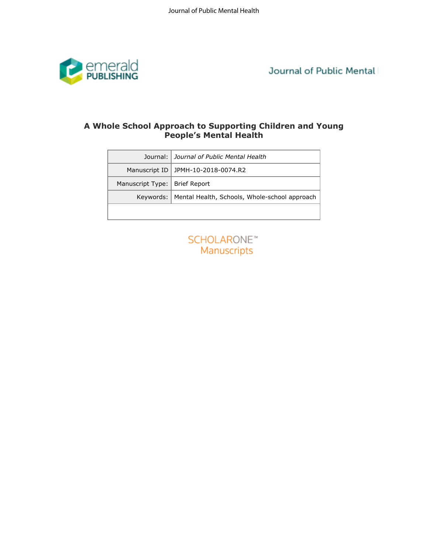

Journal of Public Mental

# **People's Mental Health**

| Journal:         | Journal of Public Mental Health               |
|------------------|-----------------------------------------------|
| Manuscript ID    | JPMH-10-2018-0074.R2                          |
| Manuscript Type: | <b>Brief Report</b>                           |
| Keywords:        | Mental Health, Schools, Whole-school approach |
|                  | Manuscripts                                   |
|                  | <b>SCHOLARONE™</b>                            |
|                  |                                               |
|                  |                                               |
|                  |                                               |
|                  |                                               |
|                  |                                               |
|                  |                                               |
|                  |                                               |
|                  |                                               |
|                  |                                               |
|                  |                                               |

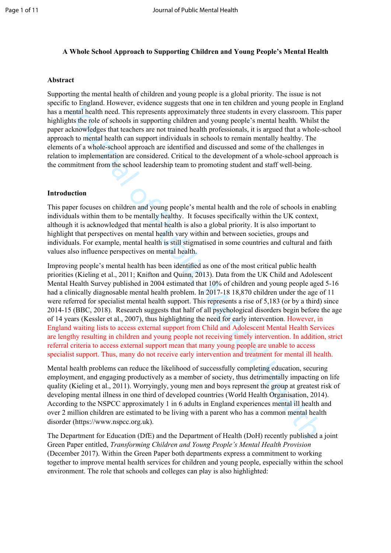# **A Whole School Approach to Supporting Children and Young People's Mental Health**

#### **Abstract**

Supporting the mental health of children and young people is a global priority. The issue is not specific to England. However, evidence suggests that one in ten children and young people in England has a mental health need. This represents approximately three students in every classroom. This paper highlights the role of schools in supporting children and young people's mental health. Whilst the paper acknowledges that teachers are not trained health professionals, it is argued that a whole-school approach to mental health can support individuals in schools to remain mentally healthy. The elements of a whole-school approach are identified and discussed and some of the challenges in relation to implementation are considered. Critical to the development of a whole-school approach is the commitment from the school leadership team to promoting student and staff well-being.

#### **Introduction**

This paper focuses on children and young people's mental health and the role of schools in enabling individuals within them to be mentally healthy. It focuses specifically within the UK context, although it is acknowledged that mental health is also a global priority. It is also important to highlight that perspectives on mental health vary within and between societies, groups and individuals. For example, mental health is still stigmatised in some countries and cultural and faith values also influence perspectives on mental health.

to the plant However, evidence suggests that one in en cultid from and young people in Fublic Radio<br>to the logical Health product Radio means that the contents approximately three students in every classroom. This<br>the firs Improving people's mental health has been identified as one of the most critical public health priorities (Kieling et al., 2011; Knifton and Quinn, 2013). Data from the UK Child and Adolescent Mental Health Survey published in 2004 estimated that 10% of children and young people aged 5-16 had a clinically diagnosable mental health problem. In 2017-18 18,870 children under the age of 11 were referred for specialist mental health support. This represents a rise of 5,183 (or by a third) since 2014-15 (BBC, 2018). Research suggests that half of all psychological disorders begin before the age of 14 years (Kessler et al., 2007), thus highlighting the need for early intervention. However, in England waiting lists to access external support from Child and Adolescent Mental Health Services are lengthy resulting in children and young people not receiving timely intervention. In addition, strict referral criteria to access external support mean that many young people are unable to access specialist support. Thus, many do not receive early intervention and treatment for mental ill health.

Mental health problems can reduce the likelihood of successfully completing education, securing employment, and engaging productively as a member of society, thus detrimentally impacting on life quality (Kieling et al., 2011). Worryingly, young men and boys represent the group at greatest risk of developing mental illness in one third of developed countries (World Health Organisation, 2014). According to the NSPCC approximately 1 in 6 adults in England experiences mental ill health and over 2 million children are estimated to be living with a parent who has a common mental health disorder (https://www.nspcc.org.uk).

The Department for Education (DfE) and the Department of Health (DoH) recently published a joint Green Paper entitled, *Transforming Children and Young People's Mental Health Provision* (December 2017). Within the Green Paper both departments express a commitment to working together to improve mental health services for children and young people, especially within the school environment. The role that schools and colleges can play is also highlighted: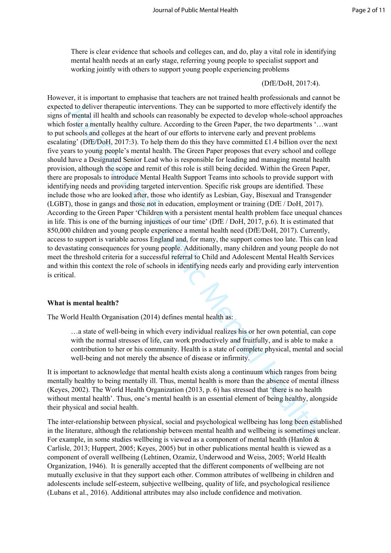There is clear evidence that schools and colleges can, and do, play a vital role in identifying mental health needs at an early stage, referring young people to specialist support and working jointly with others to support young people experiencing problems

## (DfE/DoH, 2017:4).

or, it is not<br>possess that the compose on the supported to more there were also to<br>the dot both the membral in the supported to the there are the supported to the deliver the<br>reputation and schools are reasonably be expect However, it is important to emphasise that teachers are not trained health professionals and cannot be expected to deliver therapeutic interventions. They can be supported to more effectively identify the signs of mental ill health and schools can reasonably be expected to develop whole-school approaches which foster a mentally healthy culture. According to the Green Paper, the two departments '…want to put schools and colleges at the heart of our efforts to intervene early and prevent problems escalating' (DfE/DoH, 2017:3). To help them do this they have committed £1.4 billion over the next five years to young people's mental health. The Green Paper proposes that every school and college should have a Designated Senior Lead who is responsible for leading and managing mental health provision, although the scope and remit of this role is still being decided. Within the Green Paper, there are proposals to introduce Mental Health Support Teams into schools to provide support with identifying needs and providing targeted intervention. Specific risk groups are identified. These include those who are looked after, those who identify as Lesbian, Gay, Bisexual and Transgender (LGBT), those in gangs and those not in education, employment or training (DfE / DoH, 2017). According to the Green Paper 'Children with a persistent mental health problem face unequal chances in life. This is one of the burning injustices of our time' (DfE / DoH, 2017, p.6). It is estimated that 850,000 children and young people experience a mental health need (DfE/DoH, 2017). Currently, access to support is variable across England and, for many, the support comes too late. This can lead to devastating consequences for young people. Additionally, many children and young people do not meet the threshold criteria for a successful referral to Child and Adolescent Mental Health Services and within this context the role of schools in identifying needs early and providing early intervention is critical.

# **What is mental health?**

The World Health Organisation (2014) defines mental health as:

…a state of well-being in which every individual realizes his or her own potential, can cope with the normal stresses of life, can work productively and fruitfully, and is able to make a contribution to her or his community. Health is a state of complete physical, mental and social well-being and not merely the absence of disease or infirmity.

It is important to acknowledge that mental health exists along a continuum which ranges from being mentally healthy to being mentally ill. Thus, mental health is more than the absence of mental illness (Keyes, 2002). The World Health Organization (2013, p. 6) has stressed that 'there is no health without mental health'. Thus, one's mental health is an essential element of being healthy, alongside their physical and social health.

The inter-relationship between physical, social and psychological wellbeing has long been established in the literature, although the relationship between mental health and wellbeing is sometimes unclear. For example, in some studies wellbeing is viewed as a component of mental health (Hanlon & Carlisle, 2013; Huppert, 2005; Keyes, 2005) but in other publications mental health is viewed as a component of overall wellbeing (Lehtinen, Ozamiz, Underwood and Weiss, 2005; World Health Organization, 1946). It is generally accepted that the different components of wellbeing are not mutually exclusive in that they support each other. Common attributes of wellbeing in children and adolescents include self-esteem, subjective wellbeing, quality of life, and psychological resilience (Lubans et al., 2016). Additional attributes may also include confidence and motivation.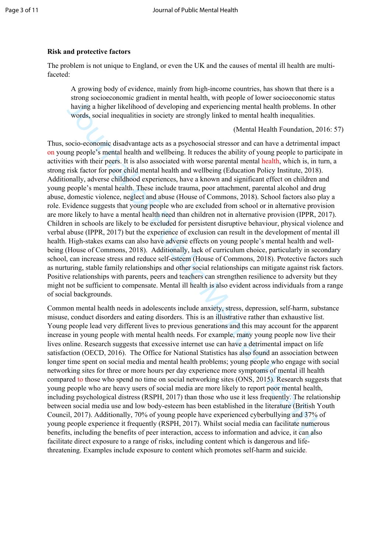# **Risk and protective factors**

The problem is not unique to England, or even the UK and the causes of mental ill health are multifaceted:

A growing body of evidence, mainly from high-income countries, has shown that there is a strong socioeconomic gradient in mental health, with people of lower socioeconomic status having a higher likelihood of developing and experiencing mental health problems. In other words, social inequalities in society are strongly linked to mental health inequalities.

(Mental Health Foundation, 2016: 57)

sions of Commons, 2018). Additional in the development in the protocomologies above solution and the protocomological distributed of developming and experiencing mental health inequalities. Works, social inequalities in so Thus, socio-economic disadvantage acts as a psychosocial stressor and can have a detrimental impact on young people's mental health and wellbeing. It reduces the ability of young people to participate in activities with their peers. It is also associated with worse parental mental health, which is, in turn, a strong risk factor for poor child mental health and wellbeing (Education Policy Institute, 2018). Additionally, adverse childhood experiences, have a known and significant effect on children and young people's mental health. These include trauma, poor attachment, parental alcohol and drug abuse, domestic violence, neglect and abuse (House of Commons, 2018). School factors also play a role. Evidence suggests that young people who are excluded from school or in alternative provision are more likely to have a mental health need than children not in alternative provision (IPPR, 2017). Children in schools are likely to be excluded for persistent disruptive behaviour, physical violence and verbal abuse (IPPR, 2017) but the experience of exclusion can result in the development of mental ill health. High-stakes exams can also have adverse effects on young people's mental health and wellbeing (House of Commons, 2018). Additionally, lack of curriculum choice, particularly in secondary school, can increase stress and reduce self-esteem (House of Commons, 2018). Protective factors such as nurturing, stable family relationships and other social relationships can mitigate against risk factors. Positive relationships with parents, peers and teachers can strengthen resilience to adversity but they might not be sufficient to compensate. Mental ill health is also evident across individuals from a range of social backgrounds.

Common mental health needs in adolescents include anxiety, stress, depression, self-harm, substance misuse, conduct disorders and eating disorders. This is an illustrative rather than exhaustive list. Young people lead very different lives to previous generations and this may account for the apparent increase in young people with mental health needs. For example, many young people now live their lives online. Research suggests that excessive internet use can have a detrimental impact on life satisfaction (OECD, 2016). The Office for National Statistics has also found an association between longer time spent on social media and mental health problems; young people who engage with social networking sites for three or more hours per day experience more symptoms of mental ill health compared to those who spend no time on social networking sites (ONS, 2015). Research suggests that young people who are heavy users of social media are more likely to report poor mental health, including psychological distress (RSPH, 2017) than those who use it less frequently. The relationship between social media use and low body-esteem has been established in the literature (British Youth Council, 2017). Additionally, 70% of young people have experienced cyberbullying and 37% of young people experience it frequently (RSPH, 2017). Whilst social media can facilitate numerous benefits, including the benefits of peer interaction, access to information and advice, it can also facilitate direct exposure to a range of risks, including content which is dangerous and lifethreatening. Examples include exposure to content which promotes self-harm and suicide.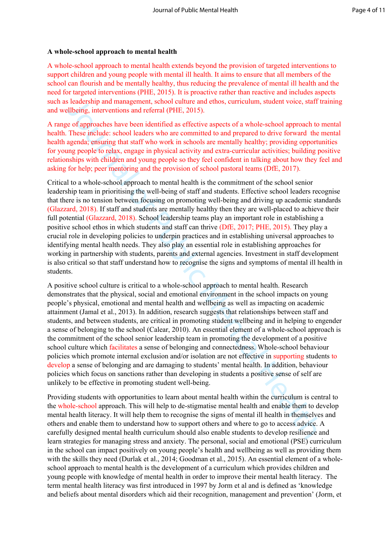## **A whole-school approach to mental health**

A whole-school approach to mental health extends beyond the provision of targeted interventions to support children and young people with mental ill health. It aims to ensure that all members of the school can flourish and be mentally healthy, thus reducing the prevalence of mental ill health and the need for targeted interventions (PHE, 2015). It is proactive rather than reactive and includes aspects such as leadership and management, school culture and ethos, curriculum, student voice, staff training and wellbeing, interventions and referral (PHE, 2015).

A range of approaches have been identified as effective aspects of a whole-school approach to mental health. These include: school leaders who are committed to and prepared to drive forward the mental health agenda; ensuring that staff who work in schools are mentally healthy; providing opportunities for young people to relax, engage in physical activity and extra-curricular activities; building positive relationships with children and young people so they feel confident in talking about how they feel and asking for help; peer mentoring and the provision of school pastoral teams (DfE, 2017).

Critical to a whole-school approach to mental health is the commitment of the school senior leadership team in prioritising the well-being of staff and students. Effective school leaders recognise that there is no tension between focusing on promoting well-being and driving up academic standards (Glazzard, 2018). If staff and students are mentally healthy then they are well-placed to achieve their full potential (Glazzard, 2018). School leadership teams play an important role in establishing a positive school ethos in which students and staff can thrive (DfE, 2017; PHE, 2015). They play a crucial role in developing policies to underpin practices and in establishing universal approaches to identifying mental health needs. They also play an essential role in establishing approaches for working in partnership with students, parents and external agencies. Investment in staff development is also critical so that staff understand how to recognise the signs and symptoms of mental ill health in students.

I leadership and management, school culture and ethos, curriculum, student voice, staff in leadership and management, school any endemotive and a effective aspects of a whole-school approach to these ineluctive show that t A positive school culture is critical to a whole-school approach to mental health. Research demonstrates that the physical, social and emotional environment in the school impacts on young people's physical, emotional and mental health and wellbeing as well as impacting on academic attainment (Jamal et al., 2013). In addition, research suggests that relationships between staff and students, and between students, are critical in promoting student wellbeing and in helping to engender a sense of belonging to the school (Calear, 2010). An essential element of a whole-school approach is the commitment of the school senior leadership team in promoting the development of a positive school culture which facilitates a sense of belonging and connectedness. Whole-school behaviour policies which promote internal exclusion and/or isolation are not effective in supporting students to develop a sense of belonging and are damaging to students' mental health. In addition, behaviour policies which focus on sanctions rather than developing in students a positive sense of self are unlikely to be effective in promoting student well-being.

Providing students with opportunities to learn about mental health within the curriculum is central to the whole-school approach. This will help to de-stigmatise mental health and enable them to develop mental health literacy. It will help them to recognise the signs of mental ill health in themselves and others and enable them to understand how to support others and where to go to access advice. A carefully designed mental health curriculum should also enable students to develop resilience and learn strategies for managing stress and anxiety. The personal, social and emotional (PSE) curriculum in the school can impact positively on young people's health and wellbeing as well as providing them with the skills they need (Durlak et al., 2014; Goodman et al., 2015). An essential element of a wholeschool approach to mental health is the development of a curriculum which provides children and young people with knowledge of mental health in order to improve their mental health literacy. The term mental health literacy was first introduced in 1997 by Jorm et al and is defined as 'knowledge and beliefs about mental disorders which aid their recognition, management and prevention' (Jorm, et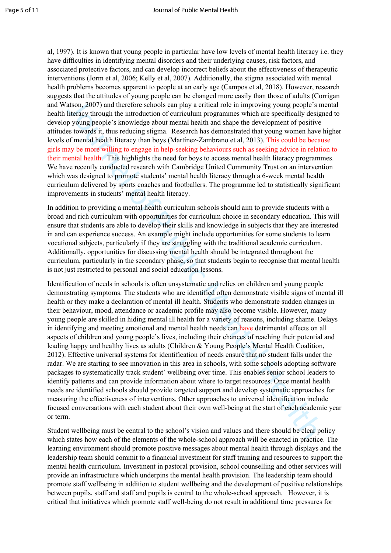al, 1997). It is known that young people in particular have low levels of mental health literacy i.e. they have difficulties in identifying mental disorders and their underlying causes, risk factors, and associated protective factors, and can develop incorrect beliefs about the effectiveness of therapeutic interventions (Jorm et al, 2006; Kelly et al, 2007). Additionally, the stigma associated with mental health problems becomes apparent to people at an early age (Campos et al, 2018). However, research suggests that the attitudes of young people can be changed more easily than those of adults (Corrigan and Watson, 2007) and therefore schools can play a critical role in improving young people's mental health literacy through the introduction of curriculum programmes which are specifically designed to develop young people's knowledge about mental health and shape the development of positive attitudes towards it, thus reducing stigma. Research has demonstrated that young women have higher levels of mental health literacy than boys (Martínez-Zambrano et al, 2013). This could be because girls may be more willing to engage in help-seeking behaviours such as seeking advice in relation to their mental health. This highlights the need for boys to access mental health literacy programmes. We have recently conducted research with Cambridge United Community Trust on an intervention which was designed to promote students' mental health literacy through a 6-week mental health curriculum delivered by sports coaches and footballers. The programme led to statistically significant improvements in students' mental health literacy.

In addition to providing a mental health curriculum schools should aim to provide students with a broad and rich curriculum with opportunities for curriculum choice in secondary education. This will ensure that students are able to develop their skills and knowledge in subjects that they are interested in and can experience success. An example might include opportunities for some students to learn vocational subjects, particularly if they are struggling with the traditional academic curriculum. Additionally, opportunities for discussing mental health should be integrated throughout the curriculum, particularly in the secondary phase, so that students begin to recognise that mental health is not just restricted to personal and social education lessons.

ation, 2007) and therefore schools can play a critical role in improving young people's interacty through the introduction of curricular programmes which are specifically designed to the modulation of curricular programmes Identification of needs in schools is often unsystematic and relies on children and young people demonstrating symptoms. The students who are identified often demonstrate visible signs of mental ill health or they make a declaration of mental ill health. Students who demonstrate sudden changes in their behaviour, mood, attendance or academic profile may also become visible. However, many young people are skilled in hiding mental ill health for a variety of reasons, including shame. Delays in identifying and meeting emotional and mental health needs can have detrimental effects on all aspects of children and young people's lives, including their chances of reaching their potential and leading happy and healthy lives as adults (Children & Young People's Mental Health Coalition, 2012). Effective universal systems for identification of needs ensure that no student falls under the radar. We are starting to see innovation in this area in schools, with some schools adopting software packages to systematically track student' wellbeing over time. This enables senior school leaders to identify patterns and can provide information about where to target resources. Once mental health needs are identified schools should provide targeted support and develop systematic approaches for measuring the effectiveness of interventions. Other approaches to universal identification include focused conversations with each student about their own well-being at the start of each academic year or term.

Student wellbeing must be central to the school's vision and values and there should be clear policy which states how each of the elements of the whole-school approach will be enacted in practice. The learning environment should promote positive messages about mental health through displays and the leadership team should commit to a financial investment for staff training and resources to support the mental health curriculum. Investment in pastoral provision, school counselling and other services will provide an infrastructure which underpins the mental health provision. The leadership team should promote staff wellbeing in addition to student wellbeing and the development of positive relationships between pupils, staff and staff and pupils is central to the whole-school approach. However, it is critical that initiatives which promote staff well-being do not result in additional time pressures for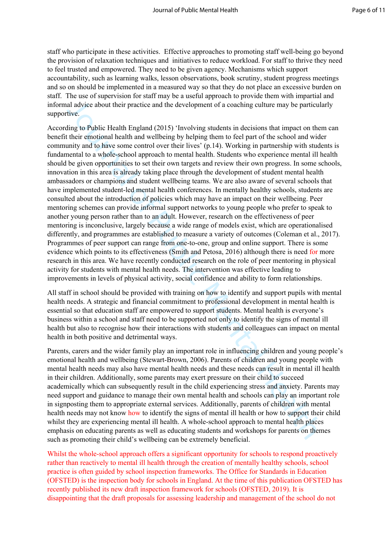staff who participate in these activities. Effective approaches to promoting staff well-being go beyond the provision of relaxation techniques and initiatives to reduce workload. For staff to thrive they need to feel trusted and empowered. They need to be given agency. Mechanisms which support accountability, such as learning walks, lesson observations, book scrutiny, student progress meetings and so on should be implemented in a measured way so that they do not place an excessive burden on staff. The use of supervision for staff may be a useful approach to provide them with impartial and informal advice about their practice and the development of a coaching culture may be particularly supportive.

al whyiee about their practice and the development of a coaching culture may be particulated<br>into al whyiee Boott their practice and the development of a coaching culture may be particulated<br>into the public Health England According to Public Health England (2015) 'Involving students in decisions that impact on them can benefit their emotional health and wellbeing by helping them to feel part of the school and wider community and to have some control over their lives' (p.14). Working in partnership with students is fundamental to a whole-school approach to mental health. Students who experience mental ill health should be given opportunities to set their own targets and review their own progress. In some schools, innovation in this area is already taking place through the development of student mental health ambassadors or champions and student wellbeing teams. We are also aware of several schools that have implemented student-led mental health conferences. In mentally healthy schools, students are consulted about the introduction of policies which may have an impact on their wellbeing. Peer mentoring schemes can provide informal support networks to young people who prefer to speak to another young person rather than to an adult. However, research on the effectiveness of peer mentoring is inconclusive, largely because a wide range of models exist, which are operationalised differently, and programmes are established to measure a variety of outcomes (Coleman et al., 2017). Programmes of peer support can range from one-to-one, group and online support. There is some evidence which points to its effectiveness (Smith and Petosa, 2016) although there is need for more research in this area. We have recently conducted research on the role of peer mentoring in physical activity for students with mental health needs. The intervention was effective leading to improvements in levels of physical activity, social confidence and ability to form relationships.

All staff in school should be provided with training on how to identify and support pupils with mental health needs. A strategic and financial commitment to professional development in mental health is essential so that education staff are empowered to support students. Mental health is everyone's business within a school and staff need to be supported not only to identify the signs of mental ill health but also to recognise how their interactions with students and colleagues can impact on mental health in both positive and detrimental ways.

Parents, carers and the wider family play an important role in influencing children and young people's emotional health and wellbeing (Stewart-Brown, 2006). Parents of children and young people with mental health needs may also have mental health needs and these needs can result in mental ill health in their children. Additionally, some parents may exert pressure on their child to succeed academically which can subsequently result in the child experiencing stress and anxiety. Parents may need support and guidance to manage their own mental health and schools can play an important role in signposting them to appropriate external services. Additionally, parents of children with mental health needs may not know how to identify the signs of mental ill health or how to support their child whilst they are experiencing mental ill health. A whole-school approach to mental health places emphasis on educating parents as well as educating students and workshops for parents on themes such as promoting their child's wellbeing can be extremely beneficial.

Whilst the whole-school approach offers a significant opportunity for schools to respond proactively rather than reactively to mental ill health through the creation of mentally healthy schools, school practice is often guided by school inspection frameworks. The Office for Standards in Education (OFSTED) is the inspection body for schools in England. At the time of this publication OFSTED has recently published its new draft inspection framework for schools (OFSTED, 2019). It is disappointing that the draft proposals for assessing leadership and management of the school do not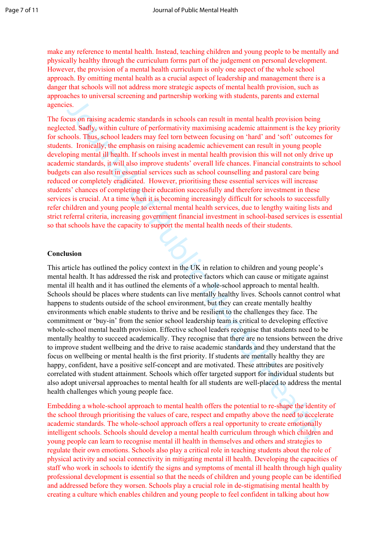make any reference to mental health. Instead, teaching children and young people to be mentally and physically healthy through the curriculum forms part of the judgement on personal development. However, the provision of a mental health curriculum is only one aspect of the whole school approach. By omitting mental health as a crucial aspect of leadership and management there is a danger that schools will not address more strategic aspects of mental health provision, such as approaches to universal screening and partnership working with students, parents and external agencies.

The focus on raising academic standards in schools can result in mental health provision being neglected. Sadly, within culture of performativity maximising academic attainment is the key priority for schools. Thus, school leaders may feel torn between focusing on 'hard' and 'soft' outcomes for students. Ironically, the emphasis on raising academic achievement can result in young people developing mental ill health. If schools invest in mental health provision this will not only drive up academic standards, it will also improve students' overall life chances. Financial constraints to school budgets can also result in essential services such as school counselling and pastoral care being reduced or completely eradicated. However, prioritising these essential services will increase students' chances of completing their education successfully and therefore investment in these services is crucial. At a time when it is becoming increasingly difficult for schools to successfully refer children and young people to external mental health services, due to lengthy waiting lists and strict referral criteria, increasing government financial investment in school-based services is essential so that schools have the capacity to support the mental health needs of their students.

#### **Conclusion**

es.<br>
Sometimes can alsing academic standards in schools can result in mental health provision being<br>
cust GM sady, within culture of performativity maximising academic tutaiment is the key public<br>
teld. Stady, within cultu This article has outlined the policy context in the UK in relation to children and young people's mental health. It has addressed the risk and protective factors which can cause or mitigate against mental ill health and it has outlined the elements of a whole-school approach to mental health. Schools should be places where students can live mentally healthy lives. Schools cannot control what happens to students outside of the school environment, but they can create mentally healthy environments which enable students to thrive and be resilient to the challenges they face. The commitment or 'buy-in' from the senior school leadership team is critical to developing effective whole-school mental health provision. Effective school leaders recognise that students need to be mentally healthy to succeed academically. They recognise that there are no tensions between the drive to improve student wellbeing and the drive to raise academic standards and they understand that the focus on wellbeing or mental health is the first priority. If students are mentally healthy they are happy, confident, have a positive self-concept and are motivated. These attributes are positively correlated with student attainment. Schools which offer targeted support for individual students but also adopt universal approaches to mental health for all students are well-placed to address the mental health challenges which young people face.

Embedding a whole-school approach to mental health offers the potential to re-shape the identity of the school through prioritising the values of care, respect and empathy above the need to accelerate academic standards. The whole-school approach offers a real opportunity to create emotionally intelligent schools. Schools should develop a mental health curriculum through which children and young people can learn to recognise mental ill health in themselves and others and strategies to regulate their own emotions. Schools also play a critical role in teaching students about the role of physical activity and social connectivity in mitigating mental ill health. Developing the capacities of staff who work in schools to identify the signs and symptoms of mental ill health through high quality professional development is essential so that the needs of children and young people can be identified and addressed before they worsen. Schools play a crucial role in de-stigmatising mental health by creating a culture which enables children and young people to feel confident in talking about how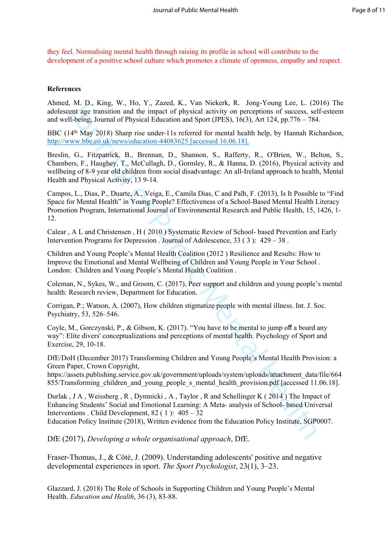they feel. Normalising mental health through raising its profile in school will contribute to the development of a positive school culture which promotes a climate of openness, empathy and respect.

## **References**

Ahmed, M. D., King, W., Ho, Y., Zazed, K., Van Niekerk, R. Jong-Young Lee, L. (2016) The adolescent age transition and the impact of physical activity on perceptions of success, self-esteem and well-being, Journal of Physical Education and Sport (JPES), 16(3), Art 124, pp.776 – 784.

BBC (14<sup>th</sup> May 2018) Sharp rise under-11s referred for mental health help, by Hannah Richardson, <http://www.bbc.co.uk/news/education-44083625>[accessed 16.06.18].

1. M. D., King, W., Ho, Y., Zazed, K., Van Wiekerk, R., Jone Young 1 e.c., (2011)<br>
A. M. D., King, W., Ho, Y., Zazed, K., Van Wiekerk, R., Jone Young 1 e.c., (2011)<br>
Elelhog, Journal of Physical Fiducation and Sport (IPF: Breslin, G., Fitzpatrick, B., Brennan, D., Shannon, S., Rafferty, R., O'Brien, W., Belton, S., Chambers, F., Haughey, T., McCullagh, D., Gormley, R., & Hanna, D. (2016), Physical activity and wellbeing of 8-9 year old children from social disadvantage: An all-Ireland approach to health, Mental Health and Physical Activity, 13 9-14.

Campos, L., Dias, P., Duarte, A., Veiga, E., Camila Dias, C and Palh, F. (2013), Is It Possible to "Find Space for Mental Health" in Young People? Effectiveness of a School-Based Mental Health Literacy Promotion Program, International Journal of Environmental Research and Public Health, 15, 1426, 1- 12.

Calear , A L and Christensen , H ( 2010 ) Systematic Review of School- based Prevention and Early Intervention Programs for Depression . Journal of Adolescence, 33 ( 3 ): 429 – 38 .

Children and Young People's Mental Health Coalition (2012 ) Resilience and Results: How to Improve the Emotional and Mental Wellbeing of Children and Young People in Your School . London: Children and Young People's Mental Health Coalition .

Coleman, N., Sykes, W., and Groom, C. (2017), Peer support and children and young people's mental health: Research review, Department for Education.

Corrigan, P.; Watson, A. (2007), How children stigmatize people with mental illness. Int. J. Soc. Psychiatry, 53, 526–546.

Coyle, M., Gorczynski, P., & Gibson, K. (2017). "You have to be mental to jump off a board any way": Elite divers' conceptualizations and perceptions of mental health. Psychology of Sport and Exercise, 29, 10-18.

DfE/DoH (December 2017) Transforming Children and Young People's Mental Health Provision: a Green Paper, Crown Copyright,

[https://assets.publishing.service.gov.uk/government/uploads/system/uploads/attachment\\_data/file/664](https://assets.publishing.service.gov.uk/government/uploads/system/uploads/attachment_data/file/664855/Transforming_children_and_young_people_s_mental_health_provision.pdf) 855/Transforming\_children\_and\_young\_people\_s\_mental\_health\_provision.pdf [accessed 11.06.18].

Durlak , J A , Weissberg , R , Dymnicki , A , Taylor , R and Schellinger K ( 2014 ) The Impact of Enhancing Students' Social and Emotional Learning: A Meta- analysis of School- based Universal Interventions . Child Development,  $82$  (1):  $405 - 32$ 

Education Policy Institute (2018), Written evidence from the Education Policy Institute, SGP0007.

DfE (2017), *Developing a whole organisational approach*, DfE.

Fraser-Thomas, J., & Côté, J. (2009). Understanding adolescents' positive and negative developmental experiences in sport. *The Sport Psychologist*, 23(1), 3–23.

Glazzard, J. (2018) The Role of Schools in Supporting Children and Young People's Mental Health. *Education and Health*, 36 (3), 83-88.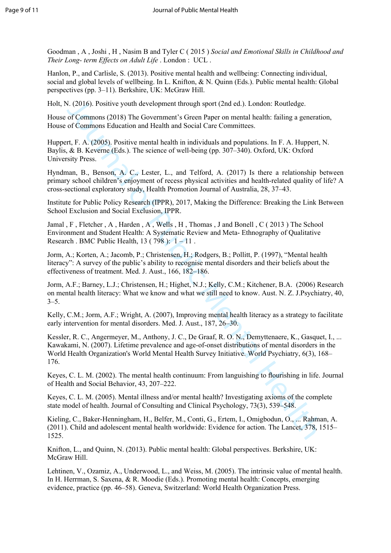Goodman , A , Joshi , H , Nasim B and Tyler C ( 2015 ) *Social and Emotional Skills in Childhood and Their Long- term Effects on Adult Life* . London : UCL .

Hanlon, P., and Carlisle, S. (2013). Positive mental health and wellbeing: Connecting individual, social and global levels of wellbeing. In L. Knifton, & N. Quinn (Eds.). Public mental health: Global perspectives (pp. 3–11). Berkshire, UK: McGraw Hill.

Holt, N. (2016). Positive youth development through sport (2nd ed.). London: Routledge.

House of Commons (2018) The Government's Green Paper on mental health: failing a generation, House of Commons Education and Health and Social Care Committees.

Huppert, F. A. (2005). Positive mental health in individuals and populations. In F. A. Huppert, N. Baylis, & B. Keverne (Eds.). The science of well-being (pp. 307–340). Oxford, UK: Oxford University Press.

Hyndman, B., Benson, A. C., Lester, L., and Telford, A. (2017) Is there a relationship between primary school children's enjoyment of recess physical activities and health-related quality of life? A cross-sectional exploratory study, Health Promotion Journal of Australia, 28, 37–43.

Institute for Public Policy Research (IPPR), 2017, Making the Difference: Breaking the Link Between School Exclusion and Social Exclusion, IPPR.

Jamal , F , Fletcher , A , Harden , A , Wells , H , Thomas , J and Bonell , C ( 2013 ) The School Environment and Student Health: A Systematic Review and Meta- Ethnography of Qualitative Research . BMC Public Health,  $13(798): 1-11$ .

Jorm, A.; Korten, A.; Jacomb, P.; Christensen, H.; Rodgers, B.; Pollitt, P. (1997), "Mental health literacy": A survey of the public's ability to recognise mental disorders and their beliefs about the effectiveness of treatment. Med. J. Aust., 166, 182–186.

Jorm, A.F.; Barney, L.J.; Christensen, H.; Highet, N.J.; Kelly, C.M.; Kitchener, B.A. (2006) Research on mental health literacy: What we know and what we still need to know. Aust. N. Z. J.Psychiatry, 40,  $3 - 5$ .

Kelly, C.M.; Jorm, A.F.; Wright, A. (2007), Improving mental health literacy as a strategy to facilitate early intervention for mental disorders. Med. J. Aust., 187, 26–30.

S. (2016). Positive youth development through sport (2nd ed.). London: Routledge.<br>
of Commons (2018): The Government'S Green Paper on mental health! failing a generation of Commons Education and Health in individuals and Kessler, R. C., Angermeyer, M., Anthony, J. C., De Graaf, R. O. N., Demyttenaere, K., Gasquet, I., ... Kawakami, N. (2007). Lifetime prevalence and age-of-onset distributions of mental disorders in the World Health Organization's World Mental Health Survey Initiative. World Psychiatry, 6(3), 168– 176.

Keyes, C. L. M. (2002). The mental health continuum: From languishing to flourishing in life. Journal of Health and Social Behavior, 43, 207–222.

Keyes, C. L. M. (2005). Mental illness and/or mental health? Investigating axioms of the complete state model of health. Journal of Consulting and Clinical Psychology, 73(3), 539–548.

Kieling, C., Baker-Henningham, H., Belfer, M., Conti, G., Ertem, I., Omigbodun, O., ... Rahman, A. (2011). Child and adolescent mental health worldwide: Evidence for action. The Lancet, 378, 1515– 1525.

Knifton, L., and Quinn, N. (2013). Public mental health: Global perspectives. Berkshire, UK: McGraw Hill.

Lehtinen, V., Ozamiz, A., Underwood, L., and Weiss, M. (2005). The intrinsic value of mental health. In H. Herrman, S. Saxena, & R. Moodie (Eds.). Promoting mental health: Concepts, emerging evidence, practice (pp. 46–58). Geneva, Switzerland: World Health Organization Press.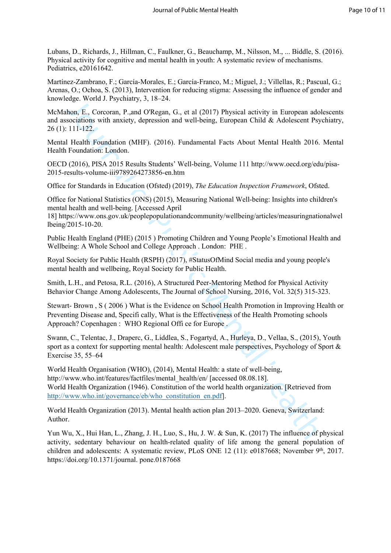Lubans, D., Richards, J., Hillman, C., Faulkner, G., Beauchamp, M., Nilsson, M., ... Biddle, S. (2016). Physical activity for cognitive and mental health in youth: A systematic review of mechanisms. Pediatrics, e20161642.

Martínez-Zambrano, F.; García-Morales, E.; García-Franco, M.; Miguel, J.; Villellas, R.; Pascual, G.; Arenas, O.; Ochoa, S. (2013), Intervention for reducing stigma: Assessing the influence of gender and knowledge. World J. Psychiatry, 3, 18–24.

McMahon, E., Corcoran, P.,and O'Regan, G., et al (2017) Physical activity in European adolescents and associations with anxiety, depression and well-being, European Child & Adolescent Psychiatry, 26 (1): 111-122.

Mental Health Foundation (MHF). (2016). Fundamental Facts About Mental Health 2016. Mental Health Foundation: London.

OECD (2016), PISA 2015 Results Students' Well-being, Volume 111 [http://www.oecd.org/edu/pisa-](http://www.oecd.org/edu/pisa-2015-results-volume-iii9789264273856-en.htm)2015-results-volume-iii9789264273856-en.htm

Office for Standards in Education (Ofsted) (2019), *The Education Inspection Framework*, Ofsted.

Office for National Statistics (ONS) (2015), Measuring National Well-being: Insights into children's mental health and well-being. [Accessed April

18] https://www.ons.gov.uk/peoplepopulationandcommunity/wellbeing/articles/measuringnationalwel [lbeing/2015-10-20.](https://www.ons.gov.uk/peoplepopulationandcommunity/wellbeing/articles/measuringnationalwellbeing/2015-10-20)

Public Health England (PHE) (2015 ) Promoting Children and Young People's Emotional Health and Wellbeing: A Whole School and College Approach . London: PHE .

Royal Society for Public Health (RSPH) (2017), #StatusOfMind Social media and young people's mental health and wellbeing, Royal Society for Public Health.

Smith, L.H., and Petosa, R.L. (2016), A Structured Peer-Mentoring Method for Physical Activity Behavior Change Among Adolescents, The Journal of School Nursing, 2016, Vol. 32(5) 315-323.

Stewart- Brown , S ( 2006 ) What is the Evidence on School Health Promotion in Improving Health or Preventing Disease and, Specifi cally, What is the Effectiveness of the Health Promoting schools Approach? Copenhagen : WHO Regional Offi ce for Europe .

Swann, C., Telentac, J., Draperc, G., Liddlea, S., Fogartyd, A., Hurleya, D., Vellaa, S., (2015), Youth sport as a context for supporting mental health: Adolescent male perspectives, Psychology of Sport & Exercise 35, 55–64

ego. word. T syemany, 3, 16-24.<br>In the Telection T. However, 10, the and CRegan, G., et al. (2017) Physical activity in European adolsociations with anxiety, depression and well-being, European Child & Adolsecent Psycolati World Health Organisation (WHO), (2014), Mental Health: a state of well-being, http://www.who.int/features/factfiles/mental\_health/en/ [accessed 08.08.18]. World Health Organization (1946). Constitution of the world health organization. [Retrieved from http://www.who.int/governance/eb/who\_constitution\_en.pdf].

World Health Organization (2013). Mental health action plan 2013–2020. Geneva, Switzerland: Author.

Yun Wu, X., Hui Han, L., Zhang, J. H., Luo, S., Hu, J. W. & Sun, K. (2017) The influence of physical activity, sedentary behaviour on health-related quality of life among the general population of children and adolescents: A systematic review, PLoS ONE 12 (11): e0187668; November 9<sup>th</sup>, 2017. [https://doi.org/10.1371/journal. pone.0187668](https://doi.org/10.1371/journal.%20pone.0187668)